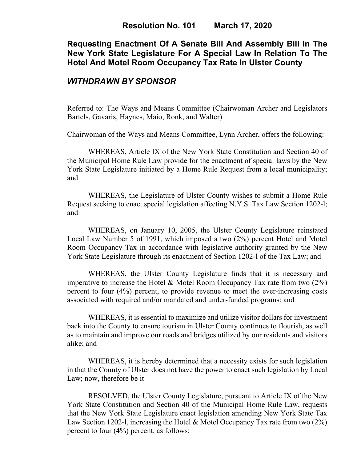# **Requesting Enactment Of A Senate Bill And Assembly Bill In The New York State Legislature For A Special Law In Relation To The Hotel And Motel Room Occupancy Tax Rate In Ulster County**

### *WITHDRAWN BY SPONSOR*

Referred to: The Ways and Means Committee (Chairwoman Archer and Legislators Bartels, Gavaris, Haynes, Maio, Ronk, and Walter)

Chairwoman of the Ways and Means Committee, Lynn Archer, offers the following:

WHEREAS, Article IX of the New York State Constitution and Section 40 of the Municipal Home Rule Law provide for the enactment of special laws by the New York State Legislature initiated by a Home Rule Request from a local municipality; and

WHEREAS, the Legislature of Ulster County wishes to submit a Home Rule Request seeking to enact special legislation affecting N.Y.S. Tax Law Section 1202-l; and

WHEREAS, on January 10, 2005, the Ulster County Legislature reinstated Local Law Number 5 of 1991, which imposed a two (2%) percent Hotel and Motel Room Occupancy Tax in accordance with legislative authority granted by the New York State Legislature through its enactment of Section 1202-l of the Tax Law; and

WHEREAS, the Ulster County Legislature finds that it is necessary and imperative to increase the Hotel & Motel Room Occupancy Tax rate from two (2%) percent to four (4%) percent, to provide revenue to meet the ever-increasing costs associated with required and/or mandated and under-funded programs; and

WHEREAS, it is essential to maximize and utilize visitor dollars for investment back into the County to ensure tourism in Ulster County continues to flourish, as well as to maintain and improve our roads and bridges utilized by our residents and visitors alike; and

WHEREAS, it is hereby determined that a necessity exists for such legislation in that the County of Ulster does not have the power to enact such legislation by Local Law; now, therefore be it

RESOLVED, the Ulster County Legislature, pursuant to Article IX of the New York State Constitution and Section 40 of the Municipal Home Rule Law, requests that the New York State Legislature enact legislation amending New York State Tax Law Section 1202-l, increasing the Hotel & Motel Occupancy Tax rate from two  $(2\%)$ percent to four (4%) percent, as follows: